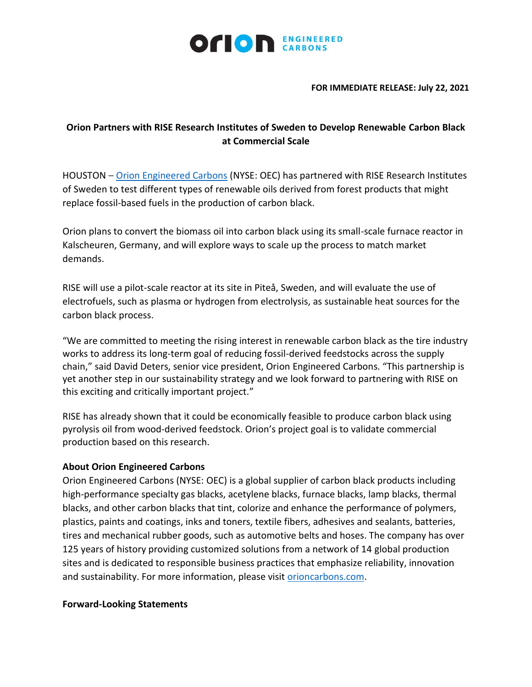

## **FOR IMMEDIATE RELEASE: July 22, 2021**

## **Orion Partners with RISE Research Institutes of Sweden to Develop Renewable Carbon Black at Commercial Scale**

HOUSTON – [Orion Engineered Carbons](https://www.orioncarbons.com/index_en.php) (NYSE: OEC) has partnered with RISE Research Institutes of Sweden to test different types of renewable oils derived from forest products that might replace fossil-based fuels in the production of carbon black.

Orion plans to convert the biomass oil into carbon black using its small-scale furnace reactor in Kalscheuren, Germany, and will explore ways to scale up the process to match market demands.

RISE will use a pilot-scale reactor at its site in Piteå, Sweden, and will evaluate the use of electrofuels, such as plasma or hydrogen from electrolysis, as sustainable heat sources for the carbon black process.

"We are committed to meeting the rising interest in renewable carbon black as the tire industry works to address its long-term goal of reducing fossil-derived feedstocks across the supply chain," said David Deters, senior vice president, Orion Engineered Carbons. "This partnership is yet another step in our sustainability strategy and we look forward to partnering with RISE on this exciting and critically important project."

RISE has already shown that it could be economically feasible to produce carbon black using pyrolysis oil from wood-derived feedstock. Orion's project goal is to validate commercial production based on this research.

## **About Orion Engineered Carbons**

Orion Engineered Carbons (NYSE: OEC) is a global supplier of carbon black products including high-performance specialty gas blacks, acetylene blacks, furnace blacks, lamp blacks, thermal blacks, and other carbon blacks that tint, colorize and enhance the performance of polymers, plastics, paints and coatings, inks and toners, textile fibers, adhesives and sealants, batteries, tires and mechanical rubber goods, such as automotive belts and hoses. The company has over 125 years of history providing customized solutions from a network of 14 global production sites and is dedicated to responsible business practices that emphasize reliability, innovation and sustainability. For more information, please visit [orioncarbons.com.](https://www.orioncarbons.com/index_en.php)

## **Forward-Looking Statements**